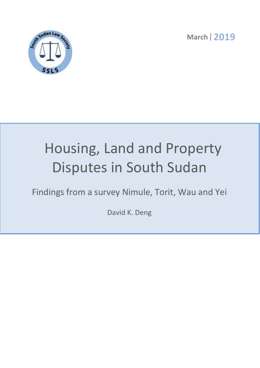**March 2019** 



# Housing, Land and Property Disputes in South Sudan

Findings from a survey Nimule, Torit, Wau and Yei

David K. Deng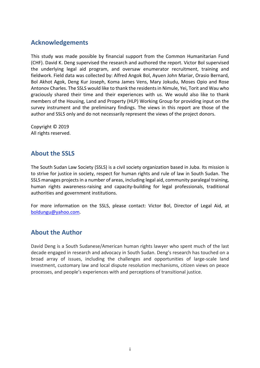# **Acknowledgements**

This study was made possible by financial support from the Common Humanitarian Fund (CHF). David K. Deng supervised the research and authored the report. Victor Bol supervised the underlying legal aid program, and oversaw enumerator recruitment, training and fieldwork. Field data was collected by: Alfred Angok Bol, Ayuen John Mariar, Orasio Bernard, Bol Akhot Agok, Deng Kur Joseph, Koma James Vens, Mary Jokudu, Moses Opio and Rose Antonov Charles. The SSLS would like to thank the residents in Nimule, Yei, Torit and Wau who graciously shared their time and their experiences with us. We would also like to thank members of the Housing, Land and Property (HLP) Working Group for providing input on the survey instrument and the preliminary findings. The views in this report are those of the author and SSLS only and do not necessarily represent the views of the project donors.

Copyright © 2019 All rights reserved.

# **About the SSLS**

The South Sudan Law Society (SSLS) is a civil society organization based in Juba. Its mission is to strive for justice in society, respect for human rights and rule of law in South Sudan. The SSLS manages projects in a number of areas, including legal aid, community paralegal training, human rights awareness-raising and capacity-building for legal professionals, traditional authorities and government institutions.

For more information on the SSLS, please contact: Victor Bol, Director of Legal Aid, at boldungu@yahoo.com.

# **About the Author**

David Deng is a South Sudanese/American human rights lawyer who spent much of the last decade engaged in research and advocacy in South Sudan. Deng's research has touched on a broad array of issues, including the challenges and opportunities of large-scale land investment, customary law and local dispute resolution mechanisms, citizen views on peace processes, and people's experiences with and perceptions of transitional justice.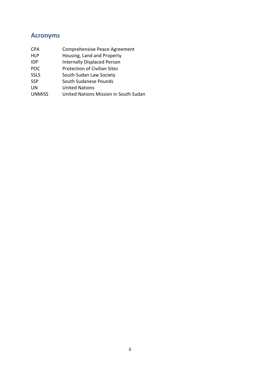# **Acronyms**

| <b>CPA</b>    | Comprehensive Peace Agreement         |
|---------------|---------------------------------------|
| <b>HLP</b>    | Housing, Land and Property            |
| IDP           | <b>Internally Displaced Person</b>    |
| <b>POC</b>    | <b>Protection of Civilian Sites</b>   |
| <b>SSLS</b>   | South Sudan Law Society               |
| <b>SSP</b>    | South Sudanese Pounds                 |
| UN            | <b>United Nations</b>                 |
| <b>UNMISS</b> | United Nations Mission in South Sudan |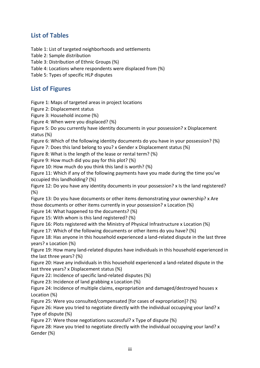# **List of Tables**

Table 1: List of targeted neighborhoods and settlements

Table 2: Sample distribution

Table 3: Distribution of Ethnic Groups (%)

Table 4: Locations where respondents were displaced from (%)

Table 5: Types of specific HLP disputes

# **List of Figures**

Figure 1: Maps of targeted areas in project locations

Figure 2: Displacement status

Figure 3: Household income (%)

Figure 4: When were you displaced? (%)

Figure 5: Do you currently have identity documents in your possession? x Displacement status (%)

Figure 6: Which of the following identity documents do you have in your possession? (%)

Figure 7: Does this land belong to you? x Gender x Displacement status (%)

Figure 8: What is the length of the lease or rental term? (%)

Figure 9: How much did you pay for this plot? (%)

Figure 10: How much do you think this land is worth? (%)

Figure 11: Which if any of the following payments have you made during the time you've occupied this landholding? (%)

Figure 12: Do you have any identity documents in your possession? x Is the land registered? (%)

Figure 13: Do you have documents or other items demonstrating your ownership? x Are those documents or other items currently in your possession? x Location (%)

Figure 14: What happened to the documents? (%)

Figure 15: With whom is this land registered? (%)

Figure 16: Plots registered with the Ministry of Physical Infrastructure x Location (%)

Figure 17: Which of the following documents or other items do you have? (%)

Figure 18: Has anyone in this household experienced a land-related dispute in the last three years? x Location (%)

Figure 19: How many land-related disputes have individuals in this household experienced in the last three years? (%)

Figure 20: Have any individuals in this household experienced a land-related dispute in the last three years? x Displacement status (%)

Figure 22: Incidence of specific land-related disputes (%)

Figure 23: Incidence of land grabbing x Location (%)

Figure 24: Incidence of multiple claims, expropriation and damaged/destroyed houses x Location (%)

Figure 25: Were you consulted/compensated [for cases of expropriation]? (%)

Figure 26: Have you tried to negotiate directly with the individual occupying your land? x Type of dispute (%)

Figure 27: Were those negotiations successful? x Type of dispute (%)

Figure 28: Have you tried to negotiate directly with the individual occupying your land? x Gender (%)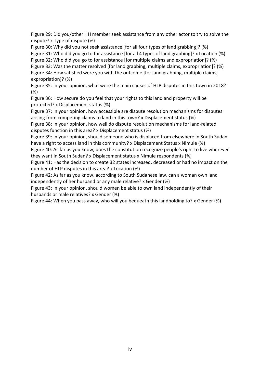Figure 29: Did you/other HH member seek assistance from any other actor to try to solve the dispute? x Type of dispute (%)

Figure 30: Why did you not seek assistance [for all four types of land grabbing]? (%) Figure 31: Who did you go to for assistance [for all 4 types of land grabbing]? x Location (%) Figure 32: Who did you go to for assistance [for multiple claims and expropriation]? (%) Figure 33: Was the matter resolved [for land grabbing, multiple claims, expropriation]? (%) Figure 34: How satisfied were you with the outcome [for land grabbing, multiple claims, expropriation]? (%)

Figure 35: In your opinion, what were the main causes of HLP disputes in this town in 2018? (%)

Figure 36: How secure do you feel that your rights to this land and property will be protected? x Displacement status (%)

Figure 37: In your opinion, how accessible are dispute resolution mechanisms for disputes arising from competing claims to land in this town? x Displacement status (%)

Figure 38: In your opinion, how well do dispute resolution mechanisms for land-related disputes function in this area? x Displacement status (%)

Figure 39: In your opinion, should someone who is displaced from elsewhere in South Sudan have a right to access land in this community? x Displacement Status x Nimule (%)

Figure 40: As far as you know, does the constitution recognize people's right to live wherever they want in South Sudan? x Displacement status x Nimule respondents (%)

Figure 41: Has the decision to create 32 states increased, decreased or had no impact on the number of HLP disputes in this area? x Location (%)

Figure 42: As far as you know, according to South Sudanese law, can a woman own land independently of her husband or any male relative? x Gender (%)

Figure 43: In your opinion, should women be able to own land independently of their husbands or male relatives? x Gender (%)

Figure 44: When you pass away, who will you bequeath this landholding to? x Gender (%)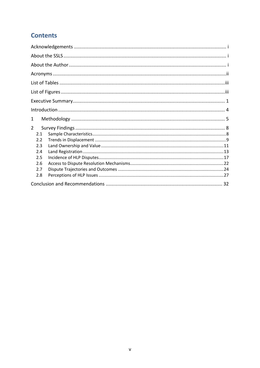# **Contents**

| 1              |
|----------------|
| $\overline{2}$ |
| 2.1            |
| 2.2            |
| 2.3            |
| 2.4            |
| 2.5            |
| 2.6            |
| 2.7            |
| 2.8            |
|                |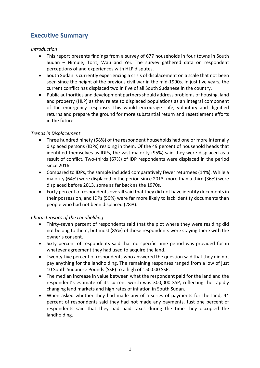# **Executive Summary**

#### *Introduction*

- This report presents findings from a survey of 677 households in four towns in South Sudan – Nimule, Torit, Wau and Yei. The survey gathered data on respondent perceptions of and experiences with HLP disputes.
- South Sudan is currently experiencing a crisis of displacement on a scale that not been seen since the height of the previous civil war in the mid-1990s. In just five years, the current conflict has displaced two in five of all South Sudanese in the country.
- Public authorities and development partners should address problems of housing, land and property (HLP) as they relate to displaced populations as an integral component of the emergency response. This would encourage safe, voluntary and dignified returns and prepare the ground for more substantial return and resettlement efforts in the future.

#### *Trends in Displacement*

- Three hundred ninety (58%) of the respondent households had one or more internally displaced persons (IDPs) residing in them. Of the 49 percent of household heads that identified themselves as IDPs, the vast majority (95%) said they were displaced as a result of conflict. Two-thirds (67%) of IDP respondents were displaced in the period since 2016.
- Compared to IDPs, the sample included comparatively fewer returnees (14%). While a majority (64%) were displaced in the period since 2013, more than a third (36%) were displaced before 2013, some as far back as the 1970s.
- Forty percent of respondents overall said that they did not have identity documents in their possession, and IDPs (50%) were far more likely to lack identity documents than people who had not been displaced (28%).

## *Characteristics of the Landholding*

- Thirty-seven percent of respondents said that the plot where they were residing did not belong to them, but most (85%) of those respondents were staying there with the owner's consent.
- Sixty percent of respondents said that no specific time period was provided for in whatever agreement they had used to acquire the land.
- Twenty-five percent of respondents who answered the question said that they did not pay anything for the landholding. The remaining responses ranged from a low of just 10 South Sudanese Pounds (SSP) to a high of 150,000 SSP.
- The median increase in value between what the respondent paid for the land and the respondent's estimate of its current worth was 300,000 SSP, reflecting the rapidly changing land markets and high rates of inflation in South Sudan.
- When asked whether they had made any of a series of payments for the land, 44 percent of respondents said they had not made any payments. Just one percent of respondents said that they had paid taxes during the time they occupied the landholding.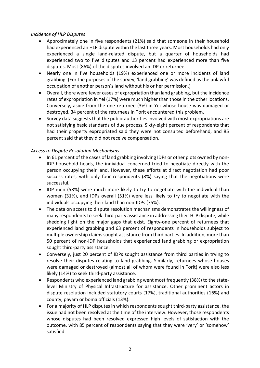#### *Incidence of HLP Disputes*

- Approximately one in five respondents (21%) said that someone in their household had experienced an HLP dispute within the last three years. Most households had only experienced a single land-related dispute, but a quarter of households had experienced two to five disputes and 13 percent had experienced more than five disputes. Most (86%) of the disputes involved an IDP or returnee.
- Nearly one in five households (19%) experienced one or more incidents of land grabbing. (For the purposes of the survey, 'land grabbing' was defined as the unlawful occupation of another person's land without his or her permission.)
- Overall, there were fewer cases of expropriation than land grabbing, but the incidence rates of expropriation in Yei (17%) were much higher than those in the other locations. Conversely, aside from the one returnee (3%) in Yei whose house was damaged or destroyed, 34 percent of the returnees in Torit encountered this problem.
- Survey data suggests that the public authorities involved with most expropriations are not satisfying basic standards of due process. Sixty-eight percent of respondents that had their property expropriated said they were not consulted beforehand, and 85 percent said that they did not receive compensation.

## *Access to Dispute Resolution Mechanisms*

- In 61 percent of the cases of land grabbing involving IDPs or other plots owned by non-IDP household heads, the individual concerned tried to negotiate directly with the person occupying their land. However, these efforts at direct negotiation had poor success rates, with only four respondents (8%) saying that the negotiations were successful.
- IDP men (58%) were much more likely to try to negotiate with the individual than women (31%), and IDPs overall (51%) were less likely to try to negotiate with the individuals occupying their land than non-IDPs (75%).
- The data on access to dispute resolution mechanisms demonstrates the willingness of many respondents to seek third-party assistance in addressing their HLP dispute, while shedding light on the major gaps that exist. Eighty-one percent of returnees that experienced land grabbing and 63 percent of respondents in households subject to multiple ownership claims sought assistance from third parties. In addition, more than 50 percent of non-IDP households that experienced land grabbing or expropriation sought third-party assistance.
- Conversely, just 20 percent of IDPs sought assistance from third parties in trying to resolve their disputes relating to land grabbing. Similarly, returnees whose houses were damaged or destroyed (almost all of whom were found in Torit) were also less likely (14%) to seek third-party assistance.
- Respondents who experienced land grabbing went most frequently (38%) to the statelevel Ministry of Physical Infrastructure for assistance. Other prominent actors in dispute resolution included statutory courts (17%), traditional authorities (16%) and county, payam or boma officials (13%).
- For a majority of HLP disputes in which respondents sought third-party assistance, the issue had not been resolved at the time of the interview. However, those respondents whose disputes had been resolved expressed high levels of satisfaction with the outcome, with 85 percent of respondents saying that they were 'very' or 'somehow' satisfied.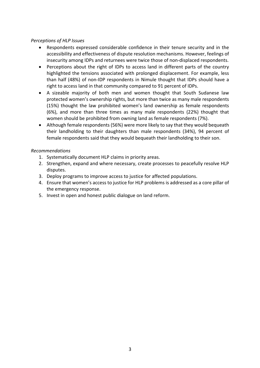## *Perceptions of HLP Issues*

- Respondents expressed considerable confidence in their tenure security and in the accessibility and effectiveness of dispute resolution mechanisms. However, feelings of insecurity among IDPs and returnees were twice those of non-displaced respondents.
- Perceptions about the right of IDPs to access land in different parts of the country highlighted the tensions associated with prolonged displacement. For example, less than half (48%) of non-IDP respondents in Nimule thought that IDPs should have a right to access land in that community compared to 91 percent of IDPs.
- A sizeable majority of both men and women thought that South Sudanese law protected women's ownership rights, but more than twice as many male respondents (15%) thought the law prohibited women's land ownership as female respondents (6%), and more than three times as many male respondents (22%) thought that women should be prohibited from owning land as female respondents (7%).
- Although female respondents (56%) were more likely to say that they would bequeath their landholding to their daughters than male respondents (34%), 94 percent of female respondents said that they would bequeath their landholding to their son.

## *Recommendations*

- 1. Systematically document HLP claims in priority areas.
- 2. Strengthen, expand and where necessary, create processes to peacefully resolve HLP disputes.
- 3. Deploy programs to improve access to justice for affected populations.
- 4. Ensure that women's access to justice for HLP problems is addressed as a core pillar of the emergency response.
- 5. Invest in open and honest public dialogue on land reform.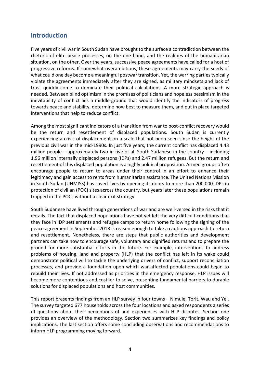# **Introduction**

Five years of civil war in South Sudan have brought to the surface a contradiction between the rhetoric of elite peace processes, on the one hand, and the realities of the humanitarian situation, on the other. Over the years, successive peace agreements have called for a host of progressive reforms. If somewhat overambitious, these agreements may carry the seeds of what could one day become a meaningful postwar transition. Yet, the warring parties typically violate the agreements immediately after they are signed, as military mindsets and lack of trust quickly come to dominate their political calculations. A more strategic approach is needed. Between blind optimism in the promises of politicians and hopeless pessimism in the inevitability of conflict lies a middle-ground that would identify the indicators of progress towards peace and stability, determine how best to measure them, and put in place targeted interventions that help to reduce conflict.

Among the most significant indicators of a transition from war to post-conflict recovery would be the return and resettlement of displaced populations. South Sudan is currently experiencing a crisis of displacement on a scale that not been seen since the height of the previous civil war in the mid-1990s. In just five years, the current conflict has displaced 4.43 million people – approximately two in five of all South Sudanese in the country – including 1.96 million internally displaced persons (IDPs) and 2.47 million refugees. But the return and resettlement of this displaced population is a highly political proposition. Armed groups often encourage people to return to areas under their control in an effort to enhance their legitimacy and gain access to rents from humanitarian assistance. The United Nations Mission in South Sudan (UNMISS) has saved lives by opening its doors to more than 200,000 IDPs in protection of civilian (POC) sites across the country, but years later these populations remain trapped in the POCs without a clear exit strategy.

South Sudanese have lived through generations of war and are well-versed in the risks that it entails. The fact that displaced populations have not yet left the very difficult conditions that they face in IDP settlements and refugee camps to return home following the signing of the peace agreement in September 2018 is reason enough to take a cautious approach to return and resettlement. Nonetheless, there are steps that public authorities and development partners can take now to encourage safe, voluntary and dignified returns and to prepare the ground for more substantial efforts in the future. For example, interventions to address problems of housing, land and property (HLP) that the conflict has left in its wake could demonstrate political will to tackle the underlying drivers of conflict, support reconciliation processes, and provide a foundation upon which war-affected populations could begin to rebuild their lives. If not addressed as priorities in the emergency response, HLP issues will become more contentious and costlier to solve, presenting fundamental barriers to durable solutions for displaced populations and host communities.

This report presents findings from an HLP survey in four towns – Nimule, Torit, Wau and Yei. The survey targeted 677 households across the four locations and asked respondents a series of questions about their perceptions of and experiences with HLP disputes. Section one provides an overview of the methodology. Section two summarizes key findings and policy implications. The last section offers some concluding observations and recommendations to inform HLP programming moving forward.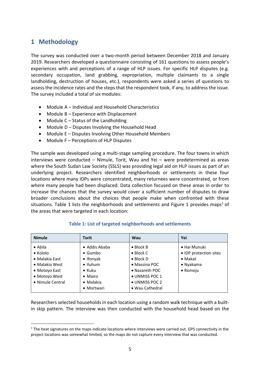# **1 Methodology**

 $\overline{a}$ 

The survey was conducted over a two-month period between December 2018 and January 2019. Researchers developed a questionnaire consisting of 161 questions to assess people's experiences with and perceptions of a range of HLP issues. For specific HLP disputes (e.g. secondary occupation, land grabbing, expropriation, multiple claimants to a single landholding, destruction of houses, etc.), respondents were asked a series of questions to assess the incidence rates and the steps that the respondent took, if any, to address the issue. The survey included a total of six modules:

- Module A Individual and Household Characteristics
- Module B Experience with Displacement
- Module C Status of the Landholding
- Module D Disputes Involving the Household Head
- Module E Disputes Involving Other Household Members
- Module F Perceptions of HLP Disputes

The sample was developed using a multi-stage sampling procedure. The four towns in which interviews were conducted – Nimule, Torit, Wau and Yei – were predetermined as areas where the South Sudan Law Society (SSLS) was providing legal aid on HLP issues as part of an underlying project. Researchers identified neighborhoods or settlements in these four locations where many IDPs were concentrated, many returnees were concentrated, or from where many people had been displaced. Data collection focused on these areas in order to increase the chances that the survey would cover a sufficient number of disputes to draw broader conclusions about the choices that people make when confronted with these situations. Table 1 lists the neighborhoods and settlements and Figure 1 provides maps<sup>1</sup> of the areas that were targeted in each location:

| <b>Nimule</b>    | Torit             | Wau               | Yei                    |
|------------------|-------------------|-------------------|------------------------|
| $\bullet$ Abila  | • Addis Ababa     | $\bullet$ Block B | • Hai Munuki           |
| $\bullet$ Kololo | $\bullet$ Gumbo   | $\bullet$ Block C | • IDP protection sites |
| • Malakia East   | $\bullet$ Ifonyak | $\bullet$ Block D | $\bullet$ Makat        |
| • Malakia West   | $\bullet$ Iluhum  | • Massina POC     | • Nyakama              |
| • Motoyo East    | $\bullet$ Kuku    | • Nazareth POC    | • Romoju               |
| • Motoyo West    | $\bullet$ Mairo   | • UNMISS POC 1    |                        |
| • Nimule Central | • Malakia         | • UNMISS POC 2    |                        |
|                  | • Mortwari        | • Wau Cathedral   |                        |

## **Table 1: List of targeted neighborhoods and settlements**

Researchers selected households in each location using a random walk technique with a builtin skip pattern. The interview was then conducted with the household head based on the

<sup>&</sup>lt;sup>1</sup> The heat signatures on the maps indicate locations where interviews were carried out. GPS connectivity in the project locations was somewhat limited, so the maps do not capture every interview that was conducted.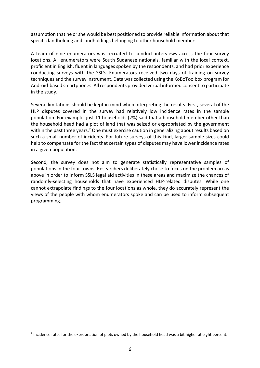assumption that he or she would be best positioned to provide reliable information about that specific landholding and landholdings belonging to other household members.

A team of nine enumerators was recruited to conduct interviews across the four survey locations. All enumerators were South Sudanese nationals, familiar with the local context, proficient in English, fluent in languages spoken by the respondents, and had prior experience conducting surveys with the SSLS. Enumerators received two days of training on survey techniques and the survey instrument. Data was collected using the KoBoToolbox program for Android-based smartphones. All respondents provided verbal informed consent to participate in the study.

Several limitations should be kept in mind when interpreting the results. First, several of the HLP disputes covered in the survey had relatively low incidence rates in the sample population. For example, just 11 households (2%) said that a household member other than the household head had a plot of land that was seized or expropriated by the government within the past three years.<sup>2</sup> One must exercise caution in generalizing about results based on such a small number of incidents. For future surveys of this kind, larger sample sizes could help to compensate for the fact that certain types of disputes may have lower incidence rates in a given population.

Second, the survey does not aim to generate statistically representative samples of populations in the four towns. Researchers deliberately chose to focus on the problem areas above in order to inform SSLS legal aid activities in these areas and maximize the chances of randomly-selecting households that have experienced HLP-related disputes. While one cannot extrapolate findings to the four locations as whole, they do accurately represent the views of the people with whom enumerators spoke and can be used to inform subsequent programming.

 $\overline{a}$ 

 $2$  Incidence rates for the expropriation of plots owned by the household head was a bit higher at eight percent.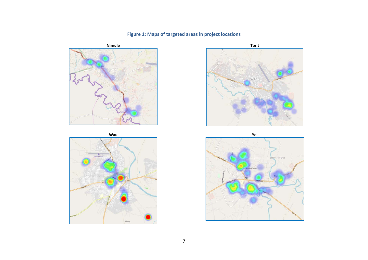



# **Figure 1: Maps of targeted areas in project locations**



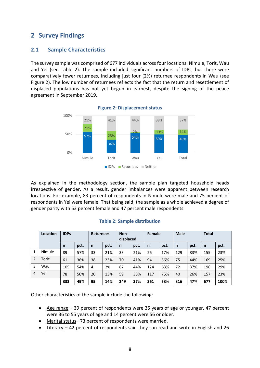# **2 Survey Findings**

# **2.1 Sample Characteristics**

The survey sample was comprised of 677 individuals across four locations: Nimule, Torit, Wau and Yei (see Table 2). The sample included significant numbers of IDPs, but there were comparatively fewer returnees, including just four (2%) returnee respondents in Wau (see Figure 2). The low number of returnees reflects the fact that the return and resettlement of displaced populations has not yet begun in earnest, despite the signing of the peace agreement in September 2019.



**Figure 2: Displacement status**

As explained in the methodology section, the sample plan targeted household heads irrespective of gender. As a result, gender imbalances were apparent between research locations. For example, 83 percent of respondents in Nimule were male and 75 percent of respondents in Yei were female. That being said, the sample as a whole achieved a degree of gender parity with 53 percent female and 47 percent male respondents.

|                | Location | <b>IDPs</b>  |      | <b>Returnees</b> |      | Non-<br>displaced |      | Female |      | <b>Male</b>  |      | <b>Total</b> |      |
|----------------|----------|--------------|------|------------------|------|-------------------|------|--------|------|--------------|------|--------------|------|
|                |          | $\mathsf{n}$ | pct. | $\mathsf{n}$     | pct. | $\mathsf{n}$      | pct. | n      | pct. | $\mathsf{n}$ | pct. | n            | pct. |
| $\mathbf{1}$   | Nimule   | 89           | 57%  | 33               | 21%  | 33                | 21%  | 26     | 17%  | 129          | 83%  | 155          | 23%  |
| $\overline{2}$ | Torit    | 61           | 36%  | 38               | 23%  | 70                | 41%  | 94     | 56%  | 75           | 44%  | 169          | 25%  |
| 3              | Wau      | 105          | 54%  | 4                | 2%   | 87                | 44%  | 124    | 63%  | 72           | 37%  | 196          | 29%  |
| $\overline{4}$ | Yei      | 78           | 50%  | 20               | 13%  | 59                | 38%  | 117    | 75%  | 40           | 26%  | 157          | 23%  |
|                |          | 333          | 49%  | 95               | 14%  | 249               | 37%  | 361    | 53%  | 316          | 47%  | 677          | 100% |

#### **Table 2: Sample distribution**

Other characteristics of the sample include the following:

- Age range 39 percent of respondents were 35 years of age or younger, 47 percent were 36 to 55 years of age and 14 percent were 56 or older.
- Marital status –73 percent of respondents were married.
- Literacy  $-42$  percent of respondents said they can read and write in English and 26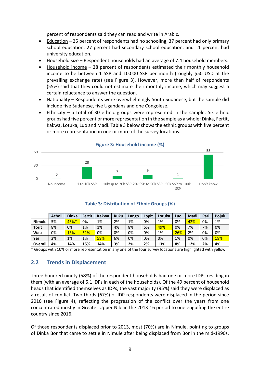percent of respondents said they can read and write in Arabic.

- Education 25 percent of respondents had no schooling, 37 percent had only primary school education, 27 percent had secondary school education, and 11 percent had university education.
- Household size Respondent households had an average of 7.4 household members.
- Household income 28 percent of respondents estimated their monthly household income to be between 1 SSP and 10,000 SSP per month (roughly \$50 USD at the prevailing exchange rate) (see Figure 3). However, more than half of respondents (55%) said that they could not estimate their monthly income, which may suggest a certain reluctance to answer the question.
- Nationality Respondents were overwhelmingly South Sudanese, but the sample did include five Sudanese, five Ugandans and one Congolese.
- Ethnicity a total of 30 ethnic groups were represented in the sample. Six ethnic groups had five percent or more representation in the sample as a whole: Dinka, Fertit, Kakwa, Lotuka, Luo and Madi. Table 3 below shows the ethnic groups with five percent or more representation in one or more of the survey locations.



#### **Figure 3: Household income (%)**

|               | <b>Acholi</b> | <b>Dinka</b> | Fertit | <b>Kakwa</b> | <b>Kuku</b> | Lango | Lopit | Lotuka | LUO | Madi | Pari | Poiulu     |
|---------------|---------------|--------------|--------|--------------|-------------|-------|-------|--------|-----|------|------|------------|
| <b>Nimule</b> | 5%            | 43%*         | 0%     | 1%           | 2%          | 1%    | 0%    | 1%     | 0%  | 42%  | 0%   | 1%         |
| Torit         | 8%            | 0%           | 1%     | 1%           | 4%          | 8%    | 6%    | 49%    | 0%  | 7%   | 7%   | 0%         |
| Wau           | 0%            | <b>13%</b>   | 51%    | 0%           | 0%          | 0%    | 0%    | 1%     | 26% | 2%   | 0%   | 0%         |
| Yei           | 2%            | 1%           | 1%     | 59%          | 6%          | 0%    | 0%    | 0%     | 1%  | 0%   | 0%   | <b>19%</b> |
| Overall       | 4%            | 14%          | 15%    | 14%          | 3%          | 2%    | 2%    | 13%    | 8%  | 12%  | 2%   | 4%         |

## **Table 3: Distribution of Ethnic Groups (%)**

\* Groups with 10% or more representation in any one of the four survey locations are highlighted with yellow.

# **2.2 Trends in Displacement**

Three hundred ninety (58%) of the respondent households had one or more IDPs residing in them (with an average of 5.1 IDPs in each of the households). Of the 49 percent of household heads that identified themselves as IDPs, the vast majority (95%) said they were displaced as a result of conflict. Two-thirds (67%) of IDP respondents were displaced in the period since 2016 (see Figure 4), reflecting the progression of the conflict over the years from one concentrated mostly in Greater Upper Nile in the 2013-16 period to one engulfing the entire country since 2016.

Of those respondents displaced prior to 2013, most (70%) are in Nimule, pointing to groups of Dinka Bor that came to settle in Nimule after being displaced from Bor in the mid-1990s.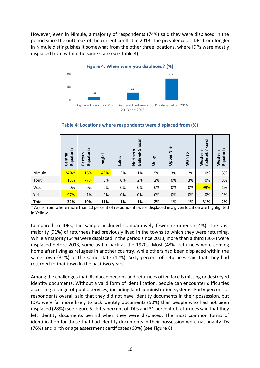However, even in Nimule, a majority of respondents (74%) said they were displaced in the period since the outbreak of the current conflict in 2013. The prevalence of IDPs from Jonglei in Nimule distinguishes it somewhat from the other three locations, where IDPs were mostly displaced from within the same state (see Table 4).



|              | ē.<br>Equatori<br>Central | Equatoria<br>Eastern | Jonglei | Lakes | Bahr-el-Ghazal<br>Northern | Unity | <b>Upper Nile</b> | Warrap | Bahr-el-Ghazal<br>Western | Equatoria<br>Western |
|--------------|---------------------------|----------------------|---------|-------|----------------------------|-------|-------------------|--------|---------------------------|----------------------|
| Nimule       | $24%$ *                   | 16%                  | 43%     | 3%    | 1%                         | 5%    | 3%                | 2%     | 0%                        | 3%                   |
| Torit        | 13%                       | 77%                  | 0%      | 0%    | 2%                         | 2%    | 0%                | 3%     | 0%                        | 3%                   |
| Wau          | 0%                        | 0%                   | 0%      | 0%    | 0%                         | 0%    | 0%                | 0%     | 99%                       | 1%                   |
| Yei          | 97%                       | 1%                   | 0%      | 0%    | 0%                         | 0%    | 0%                | 0%     | 0%                        | 1%                   |
| <b>Total</b> | 32%                       | 19%                  | 11%     | 1%    | 1%                         | 2%    | 1%                | 1%     | 31%                       | 2%                   |

#### **Table 4: Locations where respondents were displaced from (%)**

\* Areas from where more than 10 percent of respondents were displaced in a given location are highlighted in Yellow.

Compared to IDPs, the sample included comparatively fewer returnees (14%). The vast majority (91%) of returnees had previously lived in the towns to which they were returning. While a majority (64%) were displaced in the period since 2013, more than a third (36%) were displaced before 2013, some as far back as the 1970s. Most (48%) returnees were coming home after living as refugees in another country, while others had been displaced within the same town (31%) or the same state (12%). Sixty percent of returnees said that they had returned to that town in the past two years.

Among the challenges that displaced persons and returnees often face is missing or destroyed identity documents. Without a valid form of identification, people can encounter difficulties accessing a range of public services, including land administration systems. Forty percent of respondents overall said that they did not have identity documents in their possession, but IDPs were far more likely to lack identity documents (50%) than people who had not been displaced (28%) (see Figure 5). Fifty percent of IDPs and 31 percent of returnees said that they left identity documents behind when they were displaced. The most common forms of identification for those that had identity documents in their possession were nationality IDs (76%) and birth or age assessment certificates (60%) (see Figure 6).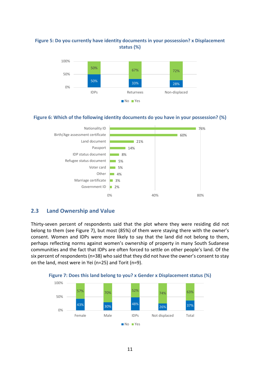## **Figure 5: Do you currently have identity documents in your possession? x Displacement status (%)**



#### **Figure 6: Which of the following identity documents do you have in your possession? (%)**



# **2.3 Land Ownership and Value**

Thirty-seven percent of respondents said that the plot where they were residing did not belong to them (see Figure 7), but most (85%) of them were staying there with the owner's consent. Women and IDPs were more likely to say that the land did not belong to them, perhaps reflecting norms against women's ownership of property in many South Sudanese communities and the fact that IDPs are often forced to settle on other people's land. Of the six percent of respondents (n=38) who said that they did not have the owner's consent to stay on the land, most were in Yei (n=25) and Torit (n=9).



**Figure 7: Does this land belong to you? x Gender x Displacement status (%)**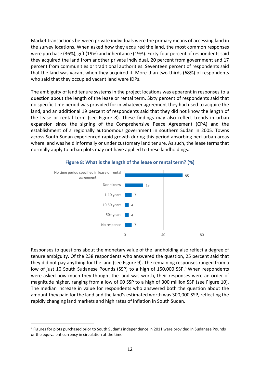Market transactions between private individuals were the primary means of accessing land in the survey locations. When asked how they acquired the land, the most common responses were purchase (36%), gift (19%) and inheritance (19%). Forty-four percent of respondents said they acquired the land from another private individual, 20 percent from government and 17 percent from communities or traditional authorities. Seventeen percent of respondents said that the land was vacant when they acquired it. More than two-thirds (68%) of respondents who said that they occupied vacant land were IDPs.

The ambiguity of land tenure systems in the project locations was apparent in responses to a question about the length of the lease or rental term. Sixty percent of respondents said that no specific time period was provided for in whatever agreement they had used to acquire the land, and an additional 19 percent of respondents said that they did not know the length of the lease or rental term (see Figure 8). These findings may also reflect trends in urban expansion since the signing of the Comprehensive Peace Agreement (CPA) and the establishment of a regionally autonomous government in southern Sudan in 2005. Towns across South Sudan experienced rapid growth during this period absorbing peri-urban areas where land was held informally or under customary land tenure. As such, the lease terms that normally apply to urban plots may not have applied to these landholdings.



#### **Figure 8: What is the length of the lease or rental term? (%)**

Responses to questions about the monetary value of the landholding also reflect a degree of tenure ambiguity. Of the 238 respondents who answered the question, 25 percent said that they did not pay anything for the land (see Figure 9). The remaining responses ranged from a low of just 10 South Sudanese Pounds (SSP) to a high of 150,000 SSP.<sup>3</sup> When respondents were asked how much they thought the land was worth, their responses were an order of magnitude higher, ranging from a low of 60 SSP to a high of 300 million SSP (see Figure 10). The median increase in value for respondents who answered both the question about the amount they paid for the land and the land's estimated worth was 300,000 SSP, reflecting the rapidly changing land markets and high rates of inflation in South Sudan.

 $\overline{a}$ 

<sup>&</sup>lt;sup>3</sup> Figures for plots purchased prior to South Sudan's independence in 2011 were provided in Sudanese Pounds or the equivalent currency in circulation at the time.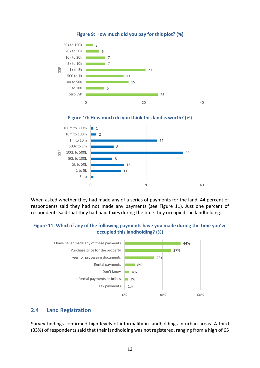

#### **Figure 9: How much did you pay for this plot? (%)**





When asked whether they had made any of a series of payments for the land, 44 percent of respondents said they had not made any payments (see Figure 11). Just one percent of respondents said that they had paid taxes during the time they occupied the landholding.

## **Figure 11: Which if any of the following payments have you made during the time you've occupied this landholding? (%)**



# **2.4 Land Registration**

Survey findings confirmed high levels of informality in landholdings in urban areas. A third (33%) of respondents said that their landholding was not registered, ranging from a high of 65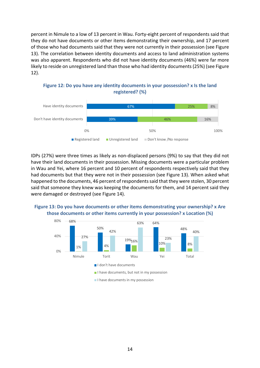percent in Nimule to a low of 13 percent in Wau. Forty-eight percent of respondents said that they do not have documents or other items demonstrating their ownership, and 17 percent of those who had documents said that they were not currently in their possession (see Figure 13). The correlation between identity documents and access to land administration systems was also apparent. Respondents who did not have identity documents (46%) were far more likely to reside on unregistered land than those who had identity documents (25%) (see Figure 12).



**Figure 12: Do you have any identity documents in your possession? x Is the land registered? (%)** 

IDPs (27%) were three times as likely as non-displaced persons (9%) to say that they did not have their land documents in their possession. Missing documents were a particular problem in Wau and Yei, where 16 percent and 10 percent of respondents respectively said that they had documents but that they were not in their possession (see Figure 13). When asked what happened to the documents, 46 percent of respondents said that they were stolen, 30 percent said that someone they knew was keeping the documents for them, and 14 percent said they were damaged or destroyed (see Figure 14).

## **Figure 13: Do you have documents or other items demonstrating your ownership? x Are those documents or other items currently in your possession? x Location (%)**

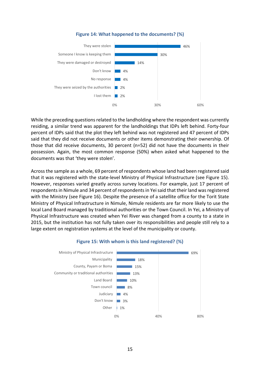

#### **Figure 14: What happened to the documents? (%)**

While the preceding questions related to the landholding where the respondent was currently residing, a similar trend was apparent for the landholdings that IDPs left behind. Forty-four percent of IDPs said that the plot they left behind was not registered and 47 percent of IDPs said that they did not receive documents or other items demonstrating their ownership. Of those that did receive documents, 30 percent (n=52) did not have the documents in their possession. Again, the most common response (50%) when asked what happened to the documents was that 'they were stolen'.

Across the sample as a whole, 69 percent of respondents whose land had been registered said that it was registered with the state-level Ministry of Physical Infrastructure (see Figure 15). However, responses varied greatly across survey locations. For example, just 17 percent of respondents in Nimule and 34 percent of respondents in Yei said that their land was registered with the Ministry (see Figure 16). Despite the presence of a satellite office for the Torit State Ministry of Physical Infrastructure in Nimule, Nimule residents are far more likely to use the local Land Board managed by traditional authorities or the Town Council. In Yei, a Ministry of Physical Infrastructure was created when Yei River was changed from a county to a state in 2015, but the institution has not fully taken over its responsibilities and people still rely to a large extent on registration systems at the level of the municipality or county.



#### **Figure 15: With whom is this land registered? (%)**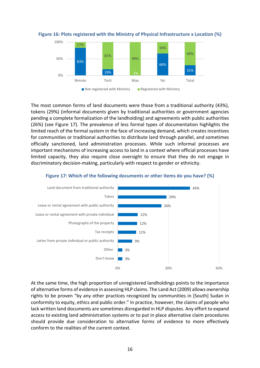

**Figure 16: Plots registered with the Ministry of Physical Infrastructure x Location (%)** 

The most common forms of land documents were those from a traditional authority (43%), tokens (29%) (informal documents given by traditional authorities or government agencies pending a complete formalization of the landholding) and agreements with public authorities (26%) (see Figure 17). The prevalence of less formal types of documentation highlights the limited reach of the formal system in the face of increasing demand, which creates incentives for communities or traditional authorities to distribute land through parallel, and sometimes officially sanctioned, land administration processes. While such informal processes are important mechanisms of increasing access to land in a context where official processes have limited capacity, they also require close oversight to ensure that they do not engage in discriminatory decision-making, particularly with respect to gender or ethnicity.



#### **Figure 17: Which of the following documents or other items do you have? (%)**

At the same time, the high proportion of unregistered landholdings points to the importance of alternative forms of evidence in assessing HLP claims. The Land Act (2009) allows ownership rights to be proven "by any other practices recognized by communities in [South] Sudan in conformity to equity, ethics and public order." In practice, however, the claims of people who lack written land documents are sometimes disregarded in HLP disputes. Any effort to expand access to existing land administration systems or to put in place alternative claim procedures should provide due consideration to alternative forms of evidence to more effectively conform to the realities of the current context.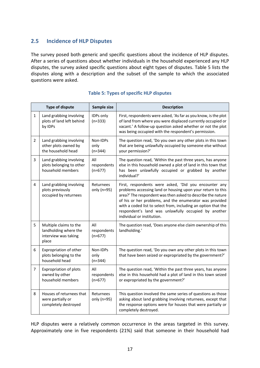# **2.5 Incidence of HLP Disputes**

The survey posed both generic and specific questions about the incidence of HLP disputes. After a series of questions about whether individuals in the household experienced any HLP disputes, the survey asked specific questions about eight types of disputes. Table 5 lists the disputes along with a description and the subset of the sample to which the associated questions were asked.

|                | <b>Type of dispute</b>                                                           | Sample size                     | <b>Description</b>                                                                                                                                                                                                                                                                                                                                                                                     |
|----------------|----------------------------------------------------------------------------------|---------------------------------|--------------------------------------------------------------------------------------------------------------------------------------------------------------------------------------------------------------------------------------------------------------------------------------------------------------------------------------------------------------------------------------------------------|
| $\mathbf{1}$   | Land grabbing involving<br>plots of land left behind<br>by IDPs                  | IDPs only<br>$(n=333)$          | First, respondents were asked, 'As far as you know, is the plot<br>of land from where you were displaced currently occupied or<br>vacant.' A follow-up question asked whether or not the plot<br>was being occupied with the respondent's permission.                                                                                                                                                  |
| $\overline{2}$ | Land grabbing involving<br>other plots owned by<br>the household head            | Non-IDPs<br>only<br>$(n=344)$   | The question read, 'Do you own any other plots in this town<br>that are being unlawfully occupied by someone else without<br>your permission?'                                                                                                                                                                                                                                                         |
| 3              | Land grabbing involving<br>plots belonging to other<br>household members         | All<br>respondents<br>$(n=677)$ | The question read, 'Within the past three years, has anyone<br>else in this household owned a plot of land in this town that<br>has been unlawfully occupied or grabbed by another<br>individual?'                                                                                                                                                                                                     |
| 4              | Land grabbing involving<br>plots previously<br>occupied by returnees             | Returnees<br>only (n=95)        | First, respondents were asked, 'Did you encounter any<br>problems accessing land or housing upon your return to this<br>area?' The respondent was then asked to describe the nature<br>of his or her problems, and the enumerator was provided<br>with a coded list to select from, including an option that the<br>respondent's land was unlawfully occupied by another<br>individual or institution. |
| 5              | Multiple claims to the<br>landholding where the<br>interview was taking<br>place | All<br>respondents<br>$(n=677)$ | The question read, 'Does anyone else claim ownership of this<br>landholding.'                                                                                                                                                                                                                                                                                                                          |
| 6              | Expropriation of other<br>plots belonging to the<br>household head               | Non-IDPs<br>only<br>$(n=344)$   | The question read, 'Do you own any other plots in this town<br>that have been seized or expropriated by the government?'                                                                                                                                                                                                                                                                               |
| 7              | Expropriation of plots<br>owned by other<br>household members                    | All<br>respondents<br>$(n=677)$ | The question read, 'Within the past three years, has anyone<br>else in this household had a plot of land in this town seized<br>or expropriated by the government?'                                                                                                                                                                                                                                    |
| 8              | Houses of returnees that<br>were partially or<br>completely destroyed            | Returnees<br>only (n=95)        | This question involved the same series of questions as those<br>asking about land grabbing involving returnees, except that<br>the response options were for houses that were partially or<br>completely destroyed.                                                                                                                                                                                    |

## **Table 5: Types of specific HLP disputes**

HLP disputes were a relatively common occurrence in the areas targeted in this survey. Approximately one in five respondents (21%) said that someone in their household had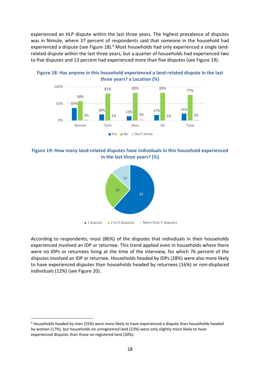experienced an HLP dispute within the last three years. The highest prevalence of disputes was in Nimule, where 37 percent of respondents said that someone in the household had experienced a dispute (see Figure 18).<sup>4</sup> Most households had only experienced a single landrelated dispute within the last three years, but a quarter of households had experienced two to five disputes and 13 percent had experienced more than five disputes (see Figure 19).



**Figure 18: Has anyone in this household experienced a land-related dispute in the last three years? x Location (%)** 

**Figure 19: How many land-related disputes have individuals in this household experienced in the last three years? (%)** 



According to respondents, most (86%) of the disputes that individuals in their households experienced involved an IDP or returnee. This trend applied even in households where there were no IDPs or returnees living at the time of the interview, for which 76 percent of the disputes involved an IDP or returnee. Households headed by IDPs (28%) were also more likely to have experienced disputes than households headed by returnees (16%) or non-displaced individuals (12%) (see Figure 20).

 $\overline{a}$ 

<sup>4</sup> Households headed by men (25%) were more likely to have experienced a dispute than households headed by women (17%), but households on unregistered land (23%) were only slightly more likely to have experienced disputes than those on registered land (20%).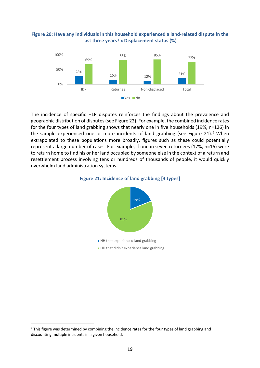#### **Figure 20: Have any individuals in this household experienced a land-related dispute in the last three years? x Displacement status (%)**



The incidence of specific HLP disputes reinforces the findings about the prevalence and geographic distribution of disputes (see Figure 22). For example, the combined incidence rates for the four types of land grabbing shows that nearly one in five households (19%, n=126) in the sample experienced one or more incidents of land grabbing (see Figure 21).<sup>5</sup> When extrapolated to these populations more broadly, figures such as these could potentially represent a large number of cases. For example, if one in seven returnees (17%, n=16) were to return home to find his or her land occupied by someone else in the context of a return and resettlement process involving tens or hundreds of thousands of people, it would quickly overwhelm land administration systems.





 $\overline{a}$ 

<sup>&</sup>lt;sup>5</sup> This figure was determined by combining the incidence rates for the four types of land grabbing and discounting multiple incidents in a given household.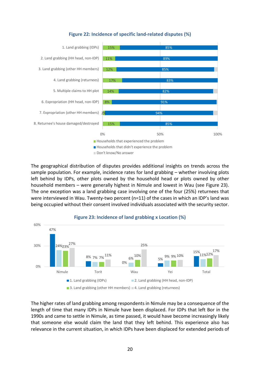

#### **Figure 22: Incidence of specific land-related disputes (%)**

The geographical distribution of disputes provides additional insights on trends across the sample population. For example, incidence rates for land grabbing – whether involving plots left behind by IDPs, other plots owned by the household head or plots owned by other household members – were generally highest in Nimule and lowest in Wau (see Figure 23). The one exception was a land grabbing case involving one of the four (25%) returnees that were interviewed in Wau. Twenty-two percent (n=11) of the cases in which an IDP's land was being occupied without their consent involved individuals associated with the security sector.



The higher rates of land grabbing among respondents in Nimule may be a consequence of the length of time that many IDPs in Nimule have been displaced. For IDPs that left Bor in the 1990s and came to settle in Nimule, as time passed, it would have become increasingly likely that someone else would claim the land that they left behind. This experience also has relevance in the current situation, in which IDPs have been displaced for extended periods of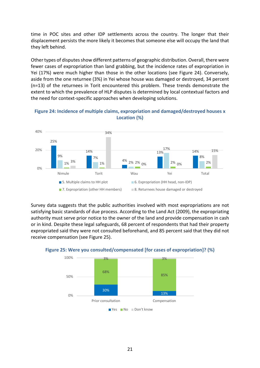time in POC sites and other IDP settlements across the country. The longer that their displacement persists the more likely it becomes that someone else will occupy the land that they left behind.

Other types of disputes show different patterns of geographic distribution. Overall, there were fewer cases of expropriation than land grabbing, but the incidence rates of expropriation in Yei (17%) were much higher than those in the other locations (see Figure 24). Conversely, aside from the one returnee (3%) in Yei whose house was damaged or destroyed, 34 percent (n=13) of the returnees in Torit encountered this problem. These trends demonstrate the extent to which the prevalence of HLP disputes is determined by local contextual factors and the need for context-specific approaches when developing solutions.





Survey data suggests that the public authorities involved with most expropriations are not satisfying basic standards of due process. According to the Land Act (2009), the expropriating authority must serve prior notice to the owner of the land and provide compensation in cash or in kind. Despite these legal safeguards, 68 percent of respondents that had their property expropriated said they were not consulted beforehand, and 85 percent said that they did not receive compensation (see Figure 25).



**Figure 25: Were you consulted/compensated [for cases of expropriation]? (%)**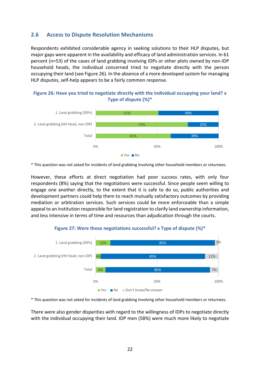# **2.6 Access to Dispute Resolution Mechanisms**

Respondents exhibited considerable agency in seeking solutions to their HLP disputes, but major gaps were apparent in the availability and efficacy of land administration services. In 61 percent (n=53) of the cases of land grabbing involving IDPs or other plots owned by non-IDP household heads, the individual concerned tried to negotiate directly with the person occupying their land (see Figure 26). In the absence of a more developed system for managing HLP disputes, self-help appears to be a fairly common response.

#### **Figure 26: Have you tried to negotiate directly with the individual occupying your land? x Type of dispute (%)\***



\* This question was not asked for incidents of land grabbing involving other household members or returnees.

However, these efforts at direct negotiation had poor success rates, with only four respondents (8%) saying that the negotiations were successful. Since people seem willing to engage one another directly, to the extent that it is safe to do so, public authorities and development partners could help them to reach mutually satisfactory outcomes by providing mediation or arbitration services. Such services could be more enforceable than a simple appeal to an institution responsible for land registration to clarify land ownership information, and less intensive in terms of time and resources than adjudication through the courts.

#### **Figure 27: Were those negotiations successful? x Type of dispute (%)\***



\* This question was not asked for incidents of land grabbing involving other household members or returnees.

There were also gender disparities with regard to the willingness of IDPs to negotiate directly with the individual occupying their land. IDP men (58%) were much more likely to negotiate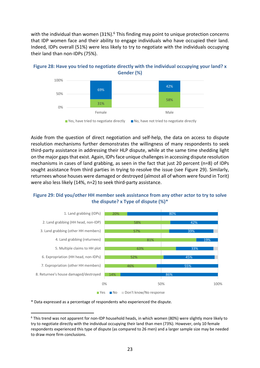with the individual than women  $(31\%)$ .<sup>6</sup> This finding may point to unique protection concerns that IDP women face and their ability to engage individuals who have occupied their land. Indeed, IDPs overall (51%) were less likely to try to negotiate with the individuals occupying their land than non-IDPs (75%).





<sup>■</sup> Yes, have tried to negotiate directly ■ No, have not tried to negotiate directly

Aside from the question of direct negotiation and self-help, the data on access to dispute resolution mechanisms further demonstrates the willingness of many respondents to seek third-party assistance in addressing their HLP dispute, while at the same time shedding light on the major gaps that exist. Again, IDPs face unique challenges in accessing dispute resolution mechanisms in cases of land grabbing, as seen in the fact that just 20 percent (n=8) of IDPs sought assistance from third parties in trying to resolve the issue (see Figure 29). Similarly, returnees whose houses were damaged or destroyed (almost all of whom were found in Torit) were also less likely (14%, n=2) to seek third-party assistance.

## **Figure 29: Did you/other HH member seek assistance from any other actor to try to solve the dispute? x Type of dispute (%)\***



\* Data expressed as a percentage of respondents who experienced the dispute.

 $\overline{a}$ 

<sup>&</sup>lt;sup>6</sup> This trend was not apparent for non-IDP household heads, in which women (80%) were slightly more likely to try to negotiate directly with the individual occupying their land than men (73%). However, only 10 female respondents experienced this type of dispute (as compared to 26 men) and a larger sample size may be needed to draw more firm conclusions.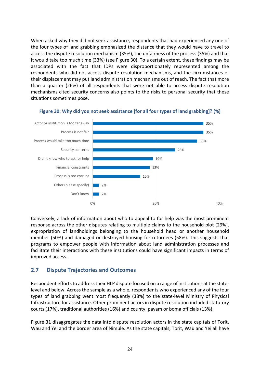When asked why they did not seek assistance, respondents that had experienced any one of the four types of land grabbing emphasized the distance that they would have to travel to access the dispute resolution mechanism (35%), the unfairness of the process (35%) and that it would take too much time (33%) (see Figure 30). To a certain extent, these findings may be associated with the fact that IDPs were disproportionately represented among the respondents who did not access dispute resolution mechanisms, and the circumstances of their displacement may put land administration mechanisms out of reach. The fact that more than a quarter (26%) of all respondents that were not able to access dispute resolution mechanisms cited security concerns also points to the risks to personal security that these situations sometimes pose.



#### **Figure 30: Why did you not seek assistance [for all four types of land grabbing]? (%)**

Conversely, a lack of information about who to appeal to for help was the most prominent response across the other disputes relating to multiple claims to the household plot (29%), expropriation of landholdings belonging to the household head or another household member (50%) and damaged or destroyed housing for returnees (58%). This suggests that programs to empower people with information about land administration processes and facilitate their interactions with these institutions could have significant impacts in terms of improved access.

# **2.7 Dispute Trajectories and Outcomes**

Respondent efforts to address their HLP dispute focused on a range of institutions at the statelevel and below. Across the sample as a whole, respondents who experienced any of the four types of land grabbing went most frequently (38%) to the state-level Ministry of Physical Infrastructure for assistance. Other prominent actors in dispute resolution included statutory courts (17%), traditional authorities (16%) and county, payam or boma officials (13%).

Figure 31 disaggregates the data into dispute resolution actors in the state capitals of Torit, Wau and Yei and the border area of Nimule. As the state capitals, Torit, Wau and Yei all have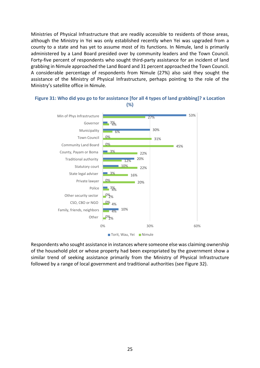Ministries of Physical Infrastructure that are readily accessible to residents of those areas, although the Ministry in Yei was only established recently when Yei was upgraded from a county to a state and has yet to assume most of its functions. In Nimule, land is primarily administered by a Land Board presided over by community leaders and the Town Council. Forty-five percent of respondents who sought third-party assistance for an incident of land grabbing in Nimule approached the Land Board and 31 percent approached the Town Council. A considerable percentage of respondents from Nimule (27%) also said they sought the assistance of the Ministry of Physical Infrastructure, perhaps pointing to the role of the Ministry's satellite office in Nimule.



#### **Figure 31: Who did you go to for assistance [for all 4 types of land grabbing]? x Location (%)**

Respondents who sought assistance in instances where someone else was claiming ownership of the household plot or whose property had been expropriated by the government show a similar trend of seeking assistance primarily from the Ministry of Physical Infrastructure followed by a range of local government and traditional authorities (see Figure 32).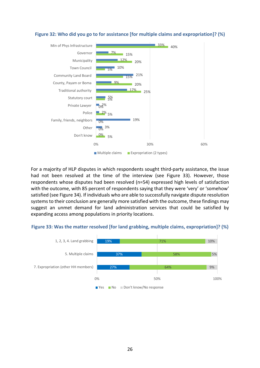

#### **Figure 32: Who did you go to for assistance [for multiple claims and expropriation]? (%)**

For a majority of HLP disputes in which respondents sought third-party assistance, the issue had not been resolved at the time of the interview (see Figure 33). However, those respondents whose disputes had been resolved (n=54) expressed high levels of satisfaction with the outcome, with 85 percent of respondents saying that they were 'very' or 'somehow' satisfied (see Figure 34). If individuals who are able to successfully navigate dispute resolution systems to their conclusion are generally more satisfied with the outcome, these findings may suggest an unmet demand for land administration services that could be satisfied by expanding access among populations in priority locations.

#### **Figure 33: Was the matter resolved [for land grabbing, multiple claims, expropriation]? (%)**

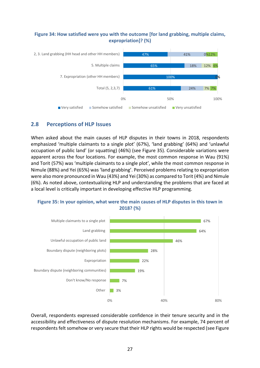#### **Figure 34: How satisfied were you with the outcome [for land grabbing, multiple claims, expropriation]? (%)**



# **2.8 Perceptions of HLP Issues**

When asked about the main causes of HLP disputes in their towns in 2018, respondents emphasized 'multiple claimants to a single plot' (67%), 'land grabbing' (64%) and 'unlawful occupation of public land' (or squatting) (46%) (see Figure 35). Considerable variations were apparent across the four locations. For example, the most common response in Wau (91%) and Torit (57%) was 'multiple claimants to a single plot', while the most common response in Nimule (88%) and Yei (65%) was 'land grabbing'. Perceived problems relating to expropriation were also more pronounced in Wau (43%) and Yei (30%) as compared to Torit (4%) and Nimule (6%). As noted above, contextualizing HLP and understanding the problems that are faced at a local level is critically important in developing effective HLP programming.





Overall, respondents expressed considerable confidence in their tenure security and in the accessibility and effectiveness of dispute resolution mechanisms. For example, 74 percent of respondents felt somehow or very secure that their HLP rights would be respected (see Figure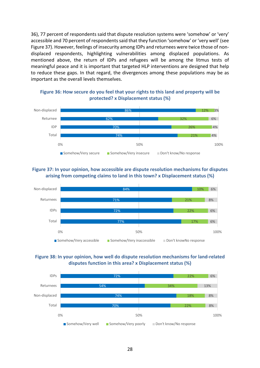36), 77 percent of respondents said that dispute resolution systems were 'somehow' or 'very' accessible and 70 percent of respondents said that they function 'somehow' or 'very well' (see Figure 37). However, feelings of insecurity among IDPs and returnees were twice those of nondisplaced respondents, highlighting vulnerabilities among displaced populations. As mentioned above, the return of IDPs and refugees will be among the litmus tests of meaningful peace and it is important that targeted HLP interventions are designed that help to reduce these gaps. In that regard, the divergences among these populations may be as important as the overall levels themselves.

**Figure 36: How secure do you feel that your rights to this land and property will be protected? x Displacement status (%)** 



## **Figure 37: In your opinion, how accessible are dispute resolution mechanisms for disputes arising from competing claims to land in this town? x Displacement status (%)**

![](_page_33_Figure_4.jpeg)

![](_page_33_Figure_5.jpeg)

![](_page_33_Figure_6.jpeg)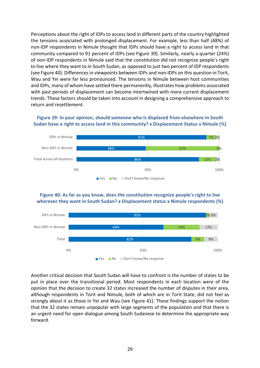Perceptions about the right of IDPs to access land in different parts of the country highlighted the tensions associated with prolonged displacement. For example, less than half (48%) of non-IDP respondents in Nimule thought that IDPs should have a right to access land in that community compared to 91 percent of IDPs (see Figure 39). Similarly, nearly a quarter (24%) of non-IDP respondents in Nimule said that the constitution did not recognize people's right to live where they want to in South Sudan, as opposed to just two percent of IDP respondents (see Figure 40). Differences in viewpoints between IDPs and non-IDPs on this question in Torit, Wau and Yei were far less pronounced. The tensions in Nimule between host communities and IDPs, many of whom have settled there permanently, illustrates how problems associated with past periods of displacement can become intertwined with more current displacement trends. These factors should be taken into account in designing a comprehensive approach to return and resettlement.

#### **Figure 39: In your opinion, should someone who is displaced from elsewhere in South Sudan have a right to access land in this community? x Displacement Status x Nimule (%)**

![](_page_34_Figure_2.jpeg)

#### **Figure 40: As far as you know, does the constitution recognize people's right to live wherever they want in South Sudan? x Displacement status x Nimule respondents (%)**

![](_page_34_Figure_4.jpeg)

Another critical decision that South Sudan will have to confront is the number of states to be put in place over the transitional period. Most respondents in each location were of the opinion that the decision to create 32 states increased the number of disputes in their area, although respondents in Torit and Nimule, both of which are in Torit State, did not feel as strongly about it as those in Yei and Wau (see Figure 41). These findings support the notion that the 32 states remain unpopular with large segments of the population and that there is an urgent need for open dialogue among South Sudanese to determine the appropriate way forward.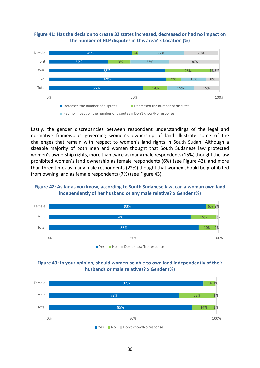![](_page_35_Figure_0.jpeg)

![](_page_35_Figure_1.jpeg)

Lastly, the gender discrepancies between respondent understandings of the legal and normative frameworks governing women's ownership of land illustrate some of the challenges that remain with respect to women's land rights in South Sudan. Although a sizeable majority of both men and women thought that South Sudanese law protected women's ownership rights, more than twice as many male respondents (15%) thought the law prohibited women's land ownership as female respondents (6%) (see Figure 42), and more than three times as many male respondents (22%) thought that women should be prohibited from owning land as female respondents (7%) (see Figure 43).

![](_page_35_Figure_3.jpeg)

![](_page_35_Figure_4.jpeg)

![](_page_35_Figure_5.jpeg)

![](_page_35_Figure_6.jpeg)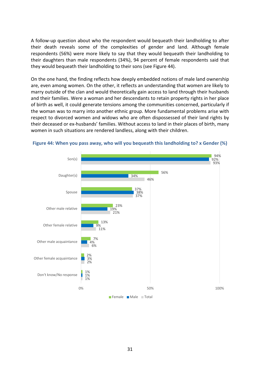A follow-up question about who the respondent would bequeath their landholding to after their death reveals some of the complexities of gender and land. Although female respondents (56%) were more likely to say that they would bequeath their landholding to their daughters than male respondents (34%), 94 percent of female respondents said that they would bequeath their landholding to their sons (see Figure 44).

On the one hand, the finding reflects how deeply embedded notions of male land ownership are, even among women. On the other, it reflects an understanding that women are likely to marry outside of the clan and would theoretically gain access to land through their husbands and their families. Were a woman and her descendants to retain property rights in her place of birth as well, it could generate tensions among the communities concerned, particularly if the woman was to marry into another ethnic group. More fundamental problems arise with respect to divorced women and widows who are often dispossessed of their land rights by their deceased or ex-husbands' families. Without access to land in their places of birth, many women in such situations are rendered landless, along with their children.

![](_page_36_Figure_2.jpeg)

**Figure 44: When you pass away, who will you bequeath this landholding to? x Gender (%)**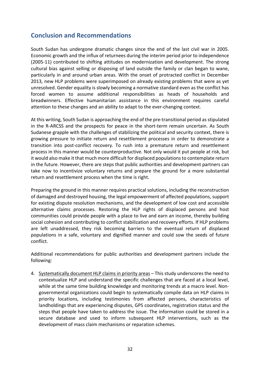# **Conclusion and Recommendations**

South Sudan has undergone dramatic changes since the end of the last civil war in 2005. Economic growth and the influx of returnees during the interim period prior to independence (2005-11) contributed to shifting attitudes on modernization and development. The strong cultural bias against selling or disposing of land outside the family or clan began to wane, particularly in and around urban areas. With the onset of protracted conflict in December 2013, new HLP problems were superimposed on already existing problems that were as yet unresolved. Gender equality is slowly becoming a normative standard even as the conflict has forced women to assume additional responsibilities as heads of households and breadwinners. Effective humanitarian assistance in this environment requires careful attention to these changes and an ability to adapt to the ever-changing context.

At this writing, South Sudan is approaching the end of the pre-transitional period as stipulated in the R-ARCSS and the prospects for peace in the short-term remain uncertain. As South Sudanese grapple with the challenges of stabilizing the political and security context, there is growing pressure to initiate return and resettlement processes in order to demonstrate a transition into post-conflict recovery. To rush into a premature return and resettlement process in this manner would be counterproductive. Not only would it put people at risk, but it would also make it that much more difficult for displaced populations to contemplate return in the future. However, there are steps that public authorities and development partners can take now to incentivize voluntary returns and prepare the ground for a more substantial return and resettlement process when the time is right.

Preparing the ground in this manner requires practical solutions, including the reconstruction of damaged and destroyed housing, the legal empowerment of affected populations, support for existing dispute resolution mechanisms, and the development of low cost and accessible alternative claims processes. Restoring the HLP rights of displaced persons and host communities could provide people with a place to live and earn an income, thereby building social cohesion and contributing to conflict stabilization and recovery efforts. If HLP problems are left unaddressed, they risk becoming barriers to the eventual return of displaced populations in a safe, voluntary and dignified manner and could sow the seeds of future conflict.

Additional recommendations for public authorities and development partners include the following:

4. Systematically document HLP claims in priority areas – This study underscores the need to contextualize HLP and understand the specific challenges that are faced at a local level, while at the same time building knowledge and monitoring trends at a macro level. Nongovernmental organizations could begin to systematically compile data on HLP claims in priority locations, including testimonies from affected persons, characteristics of landholdings that are experiencing disputes, GPS coordinates, registration status and the steps that people have taken to address the issue. The information could be stored in a secure database and used to inform subsequent HLP interventions, such as the development of mass claim mechanisms or reparation schemes.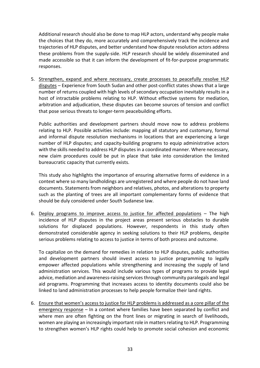Additional research should also be done to map HLP actors, understand why people make the choices that they do, more accurately and comprehensively track the incidence and trajectories of HLP disputes, and better understand how dispute resolution actors address these problems from the supply-side. HLP research should be widely disseminated and made accessible so that it can inform the development of fit-for-purpose programmatic responses.

5. Strengthen, expand and where necessary, create processes to peacefully resolve HLP disputes – Experience from South Sudan and other post-conflict states shows that a large number of returns coupled with high levels of secondary occupation inevitably results in a host of intractable problems relating to HLP. Without effective systems for mediation, arbitration and adjudication, these disputes can become sources of tension and conflict that pose serious threats to longer-term peacebuilding efforts.

Public authorities and development partners should move now to address problems relating to HLP. Possible activities include: mapping all statutory and customary, formal and informal dispute resolution mechanisms in locations that are experiencing a large number of HLP disputes; and capacity-building programs to equip administrative actors with the skills needed to address HLP disputes in a coordinated manner. Where necessary, new claim procedures could be put in place that take into consideration the limited bureaucratic capacity that currently exists.

This study also highlights the importance of ensuring alternative forms of evidence in a context where so many landholdings are unregistered and where people do not have land documents. Statements from neighbors and relatives, photos, and alterations to property such as the planting of trees are all important complementary forms of evidence that should be duly considered under South Sudanese law.

6. Deploy programs to improve access to justice for affected populations – The high incidence of HLP disputes in the project areas present serious obstacles to durable solutions for displaced populations. However, respondents in this study often demonstrated considerable agency in seeking solutions to their HLP problems, despite serious problems relating to access to justice in terms of both process and outcome.

To capitalize on the demand for remedies in relation to HLP disputes, public authorities and development partners should invest access to justice programming to legally empower affected populations while strengthening and increasing the supply of land administration services. This would include various types of programs to provide legal advice, mediation and awareness-raising services through community paralegals and legal aid programs. Programming that increases access to identity documents could also be linked to land administration processes to help people formalize their land rights.

6. Ensure that women's access to justice for HLP problems is addressed as a core pillar of the emergency response – In a context where families have been separated by conflict and where men are often fighting on the front lines or migrating in search of livelihoods, women are playing an increasingly important role in matters relating to HLP. Programming to strengthen women's HLP rights could help to promote social cohesion and economic